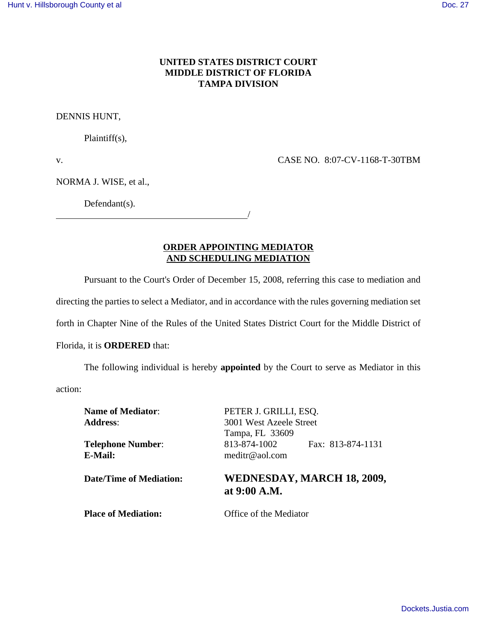## **UNITED STATES DISTRICT COURT MIDDLE DISTRICT OF FLORIDA TAMPA DIVISION**

DENNIS HUNT,

Plaintiff(s),

v. CASE NO. 8:07-CV-1168-T-30TBM

NORMA J. WISE, et al.,

Defendant(s).

<u>/</u>

**ORDER APPOINTING MEDIATOR**

## **AND SCHEDULING MEDIATION**

Pursuant to the Court's Order of December 15, 2008, referring this case to mediation and

directing the parties to select a Mediator, and in accordance with the rules governing mediation set

forth in Chapter Nine of the Rules of the United States District Court for the Middle District of

## Florida, it is **ORDERED** that:

The following individual is hereby **appointed** by the Court to serve as Mediator in this

action:

**E-Mail:** meditr@aol.com

**Name of Mediator**: PETER J. GRILLI, ESQ. **Address**: 3001 West Azeele Street Tampa, FL 33609 **Telephone Number**: 813-874-1002 Fax: 813-874-1131

## **Date/Time of Mediation: WEDNESDAY, MARCH 18, 2009, at 9:00 A.M.**

**Place of Mediation:** Office of the Mediator